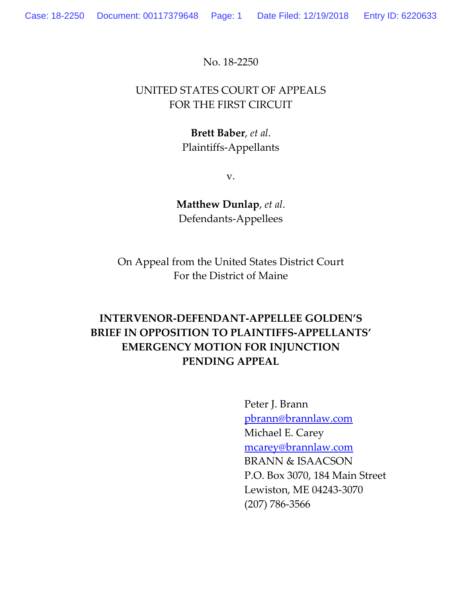No. 18-2250

# UNITED STATES COURT OF APPEALS FOR THE FIRST CIRCUIT

# **Brett Baber**, *et al*. Plaintiffs-Appellants

v.

**Matthew Dunlap**, *et al*. Defendants-Appellees

On Appeal from the United States District Court For the District of Maine

# **INTERVENOR-DEFENDANT-APPELLEE GOLDEN'S BRIEF IN OPPOSITION TO PLAINTIFFS-APPELLANTS' EMERGENCY MOTION FOR INJUNCTION PENDING APPEAL**

Peter J. Brann pbrann@brannlaw.com Michael E. Carey mcarey@brannlaw.com BRANN & ISAACSON P.O. Box 3070, 184 Main Street Lewiston, ME 04243-3070 (207) 786-3566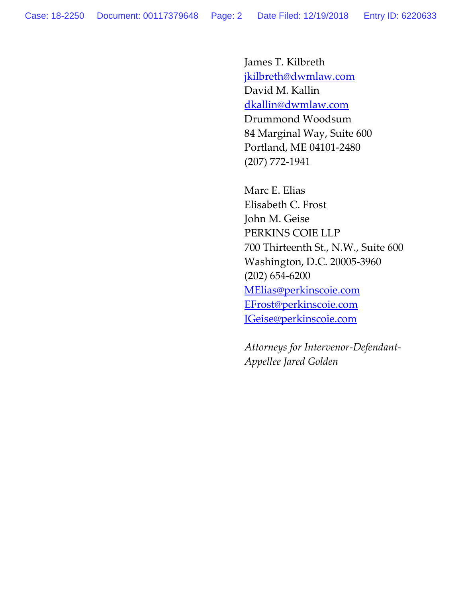James T. Kilbreth jkilbreth@dwmlaw.com David M. Kallin dkallin@dwmlaw.com Drummond Woodsum 84 Marginal Way, Suite 600 Portland, ME 04101-2480 (207) 772-1941

Marc E. Elias Elisabeth C. Frost John M. Geise PERKINS COIE LLP 700 Thirteenth St., N.W., Suite 600 Washington, D.C. 20005-3960 (202) 654-6200 MElias@perkinscoie.com EFrost@perkinscoie.com JGeise@perkinscoie.com

*Attorneys for Intervenor-Defendant-Appellee Jared Golden*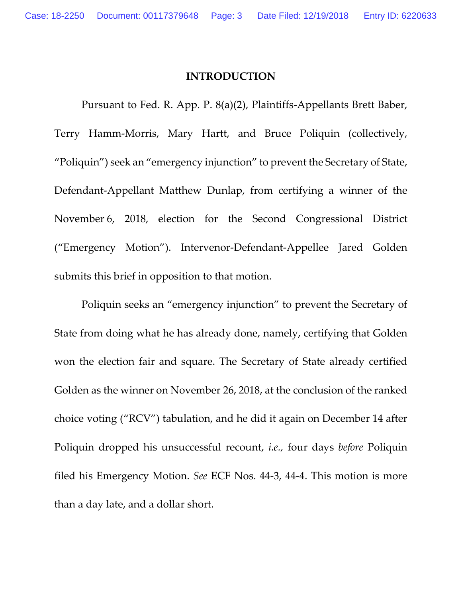#### **INTRODUCTION**

Pursuant to Fed. R. App. P. 8(a)(2), Plaintiffs-Appellants Brett Baber, Terry Hamm-Morris, Mary Hartt, and Bruce Poliquin (collectively, "Poliquin") seek an "emergency injunction" to prevent the Secretary of State, Defendant-Appellant Matthew Dunlap, from certifying a winner of the November 6, 2018, election for the Second Congressional District ("Emergency Motion"). Intervenor-Defendant-Appellee Jared Golden submits this brief in opposition to that motion.

Poliquin seeks an "emergency injunction" to prevent the Secretary of State from doing what he has already done, namely, certifying that Golden won the election fair and square. The Secretary of State already certified Golden as the winner on November 26, 2018, at the conclusion of the ranked choice voting ("RCV") tabulation, and he did it again on December 14 after Poliquin dropped his unsuccessful recount, *i.e.,* four days *before* Poliquin filed his Emergency Motion. *See* ECF Nos. 44-3, 44-4. This motion is more than a day late, and a dollar short.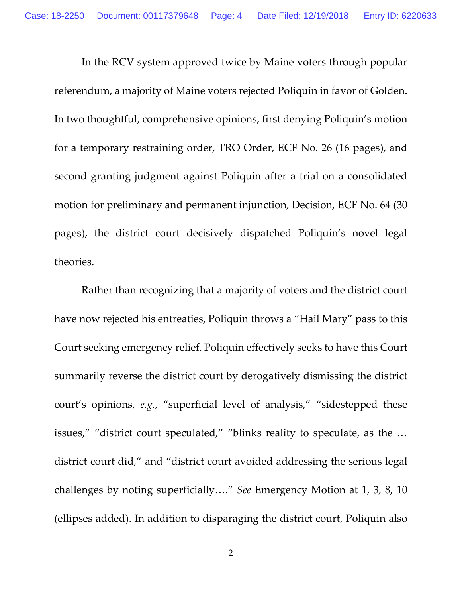In the RCV system approved twice by Maine voters through popular referendum, a majority of Maine voters rejected Poliquin in favor of Golden. In two thoughtful, comprehensive opinions, first denying Poliquin's motion for a temporary restraining order, TRO Order, ECF No. 26 (16 pages), and second granting judgment against Poliquin after a trial on a consolidated motion for preliminary and permanent injunction, Decision, ECF No. 64 (30 pages), the district court decisively dispatched Poliquin's novel legal theories.

Rather than recognizing that a majority of voters and the district court have now rejected his entreaties, Poliquin throws a "Hail Mary" pass to this Court seeking emergency relief. Poliquin effectively seeks to have this Court summarily reverse the district court by derogatively dismissing the district court's opinions, *e.g.*, "superficial level of analysis," "sidestepped these issues," "district court speculated," "blinks reality to speculate, as the … district court did," and "district court avoided addressing the serious legal challenges by noting superficially…." *See* Emergency Motion at 1, 3, 8, 10 (ellipses added). In addition to disparaging the district court, Poliquin also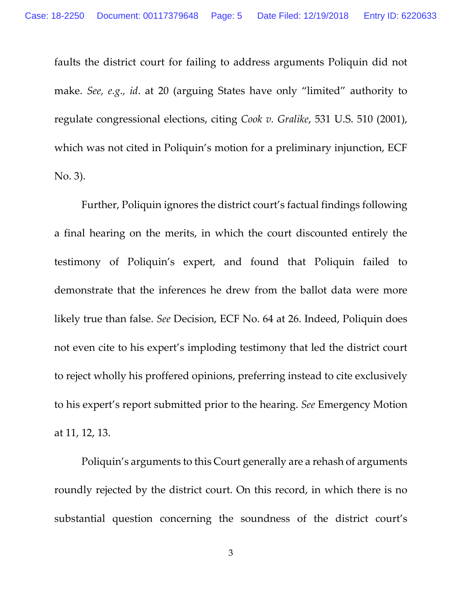faults the district court for failing to address arguments Poliquin did not make. *See, e.g., id*. at 20 (arguing States have only "limited" authority to regulate congressional elections, citing *Cook v. Gralike*, 531 U.S. 510 (2001), which was not cited in Poliquin's motion for a preliminary injunction, ECF No. 3).

Further, Poliquin ignores the district court's factual findings following a final hearing on the merits, in which the court discounted entirely the testimony of Poliquin's expert, and found that Poliquin failed to demonstrate that the inferences he drew from the ballot data were more likely true than false. *See* Decision, ECF No. 64 at 26. Indeed, Poliquin does not even cite to his expert's imploding testimony that led the district court to reject wholly his proffered opinions, preferring instead to cite exclusively to his expert's report submitted prior to the hearing. *See* Emergency Motion at 11, 12, 13.

Poliquin's arguments to this Court generally are a rehash of arguments roundly rejected by the district court. On this record, in which there is no substantial question concerning the soundness of the district court's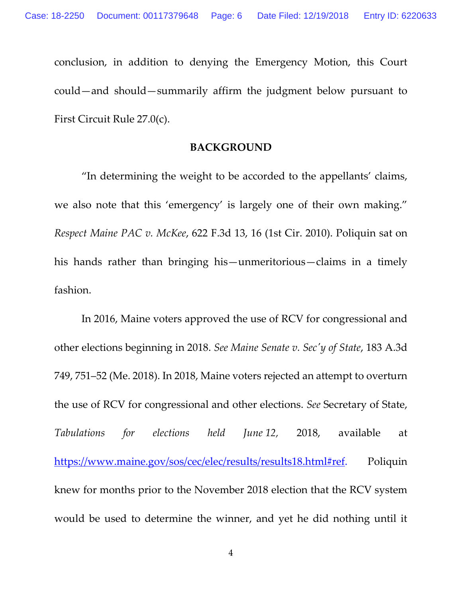conclusion, in addition to denying the Emergency Motion, this Court could—and should—summarily affirm the judgment below pursuant to First Circuit Rule 27.0(c).

## **BACKGROUND**

"In determining the weight to be accorded to the appellants' claims, we also note that this 'emergency' is largely one of their own making." *Respect Maine PAC v. McKee*, 622 F.3d 13, 16 (1st Cir. 2010). Poliquin sat on his hands rather than bringing his—unmeritorious—claims in a timely fashion.

In 2016, Maine voters approved the use of RCV for congressional and other elections beginning in 2018. *See Maine Senate v. Sec'y of State*, 183 A.3d 749, 751–52 (Me. 2018). In 2018, Maine voters rejected an attempt to overturn the use of RCV for congressional and other elections. *See* Secretary of State, *Tabulations for elections held June 12,* 2018, available at https://www.maine.gov/sos/cec/elec/results/results18.html#ref. Poliquin knew for months prior to the November 2018 election that the RCV system would be used to determine the winner, and yet he did nothing until it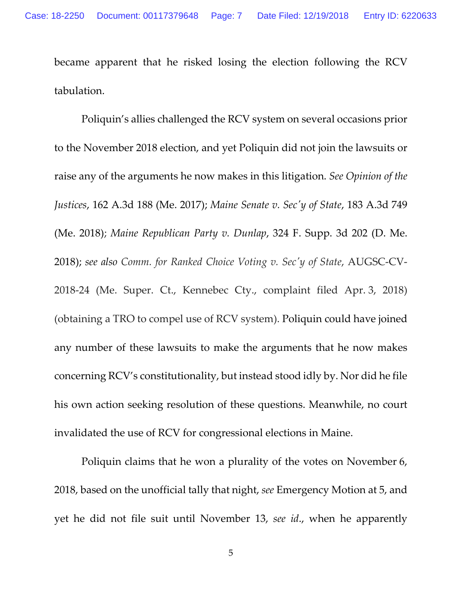became apparent that he risked losing the election following the RCV tabulation.

Poliquin's allies challenged the RCV system on several occasions prior to the November 2018 election, and yet Poliquin did not join the lawsuits or raise any of the arguments he now makes in this litigation. *See Opinion of the Justices*, 162 A.3d 188 (Me. 2017); *Maine Senate v. Sec'y of State*, 183 A.3d 749 (Me. 2018); *Maine Republican Party v. Dunlap*, 324 F. Supp. 3d 202 (D. Me. 2018); *see also Comm. for Ranked Choice Voting v. Sec'y of State*, AUGSC-CV-2018-24 (Me. Super. Ct., Kennebec Cty., complaint filed Apr. 3, 2018) (obtaining a TRO to compel use of RCV system). Poliquin could have joined any number of these lawsuits to make the arguments that he now makes concerning RCV's constitutionality, but instead stood idly by. Nor did he file his own action seeking resolution of these questions. Meanwhile, no court invalidated the use of RCV for congressional elections in Maine.

Poliquin claims that he won a plurality of the votes on November 6, 2018, based on the unofficial tally that night, *see* Emergency Motion at 5, and yet he did not file suit until November 13, *see id*., when he apparently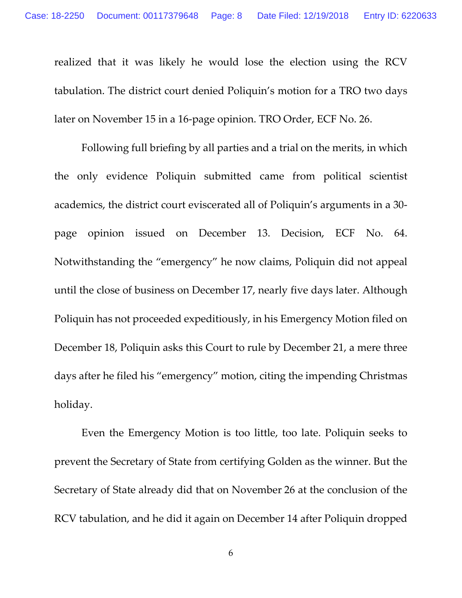realized that it was likely he would lose the election using the RCV tabulation. The district court denied Poliquin's motion for a TRO two days later on November 15 in a 16-page opinion. TRO Order, ECF No. 26.

Following full briefing by all parties and a trial on the merits, in which the only evidence Poliquin submitted came from political scientist academics, the district court eviscerated all of Poliquin's arguments in a 30 page opinion issued on December 13. Decision, ECF No. 64. Notwithstanding the "emergency" he now claims, Poliquin did not appeal until the close of business on December 17, nearly five days later. Although Poliquin has not proceeded expeditiously, in his Emergency Motion filed on December 18, Poliquin asks this Court to rule by December 21, a mere three days after he filed his "emergency" motion, citing the impending Christmas holiday.

Even the Emergency Motion is too little, too late. Poliquin seeks to prevent the Secretary of State from certifying Golden as the winner. But the Secretary of State already did that on November 26 at the conclusion of the RCV tabulation, and he did it again on December 14 after Poliquin dropped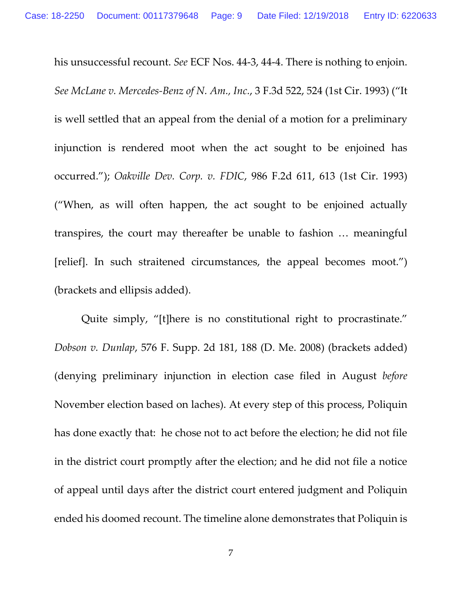his unsuccessful recount. *See* ECF Nos. 44-3, 44-4. There is nothing to enjoin. *See McLane v. Mercedes-Benz of N. Am., Inc.*, 3 F.3d 522, 524 (1st Cir. 1993) ("It is well settled that an appeal from the denial of a motion for a preliminary injunction is rendered moot when the act sought to be enjoined has occurred."); *Oakville Dev. Corp. v. FDIC*, 986 F.2d 611, 613 (1st Cir. 1993) ("When, as will often happen, the act sought to be enjoined actually transpires, the court may thereafter be unable to fashion … meaningful [relief]. In such straitened circumstances, the appeal becomes moot.") (brackets and ellipsis added).

Quite simply, "[t]here is no constitutional right to procrastinate." *Dobson v. Dunlap*, 576 F. Supp. 2d 181, 188 (D. Me. 2008) (brackets added) (denying preliminary injunction in election case filed in August *before*  November election based on laches). At every step of this process, Poliquin has done exactly that: he chose not to act before the election; he did not file in the district court promptly after the election; and he did not file a notice of appeal until days after the district court entered judgment and Poliquin ended his doomed recount. The timeline alone demonstrates that Poliquin is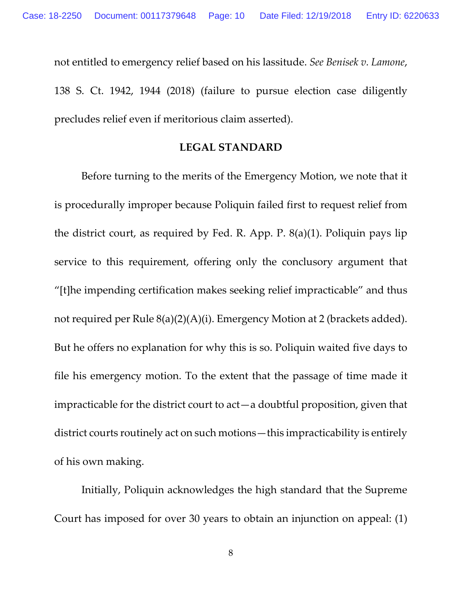not entitled to emergency relief based on his lassitude. *See Benisek v. Lamone*, 138 S. Ct. 1942, 1944 (2018) (failure to pursue election case diligently precludes relief even if meritorious claim asserted).

### **LEGAL STANDARD**

Before turning to the merits of the Emergency Motion, we note that it is procedurally improper because Poliquin failed first to request relief from the district court, as required by Fed. R. App. P. 8(a)(1). Poliquin pays lip service to this requirement, offering only the conclusory argument that "[t]he impending certification makes seeking relief impracticable" and thus not required per Rule 8(a)(2)(A)(i). Emergency Motion at 2 (brackets added). But he offers no explanation for why this is so. Poliquin waited five days to file his emergency motion. To the extent that the passage of time made it impracticable for the district court to act—a doubtful proposition, given that district courts routinely act on such motions—this impracticability is entirely of his own making.

Initially, Poliquin acknowledges the high standard that the Supreme Court has imposed for over 30 years to obtain an injunction on appeal: (1)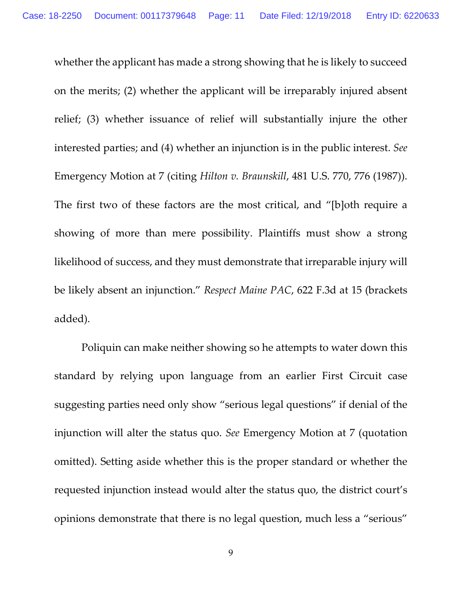whether the applicant has made a strong showing that he is likely to succeed on the merits; (2) whether the applicant will be irreparably injured absent relief; (3) whether issuance of relief will substantially injure the other interested parties; and (4) whether an injunction is in the public interest. *See*  Emergency Motion at 7 (citing *Hilton v. Braunskill*, 481 U.S. 770, 776 (1987)). The first two of these factors are the most critical, and "[b]oth require a showing of more than mere possibility. Plaintiffs must show a strong likelihood of success, and they must demonstrate that irreparable injury will be likely absent an injunction." *Respect Maine PAC*, 622 F.3d at 15 (brackets added).

Poliquin can make neither showing so he attempts to water down this standard by relying upon language from an earlier First Circuit case suggesting parties need only show "serious legal questions" if denial of the injunction will alter the status quo. *See* Emergency Motion at 7 (quotation omitted). Setting aside whether this is the proper standard or whether the requested injunction instead would alter the status quo, the district court's opinions demonstrate that there is no legal question, much less a "serious"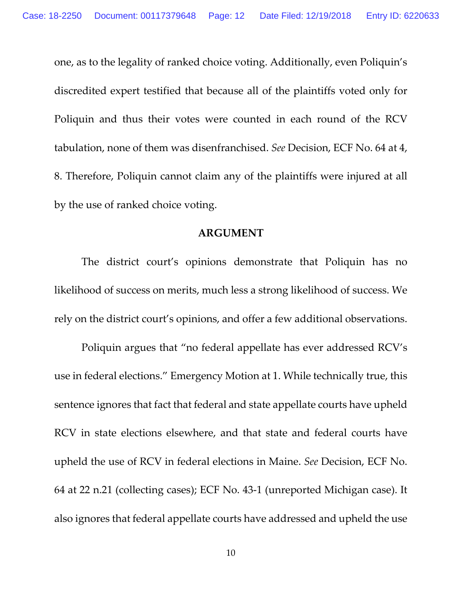one, as to the legality of ranked choice voting. Additionally, even Poliquin's discredited expert testified that because all of the plaintiffs voted only for Poliquin and thus their votes were counted in each round of the RCV tabulation, none of them was disenfranchised. *See* Decision, ECF No. 64 at 4, 8. Therefore, Poliquin cannot claim any of the plaintiffs were injured at all by the use of ranked choice voting.

#### **ARGUMENT**

The district court's opinions demonstrate that Poliquin has no likelihood of success on merits, much less a strong likelihood of success. We rely on the district court's opinions, and offer a few additional observations.

Poliquin argues that "no federal appellate has ever addressed RCV's use in federal elections." Emergency Motion at 1. While technically true, this sentence ignores that fact that federal and state appellate courts have upheld RCV in state elections elsewhere, and that state and federal courts have upheld the use of RCV in federal elections in Maine. *See* Decision, ECF No. 64 at 22 n.21 (collecting cases); ECF No. 43-1 (unreported Michigan case). It also ignores that federal appellate courts have addressed and upheld the use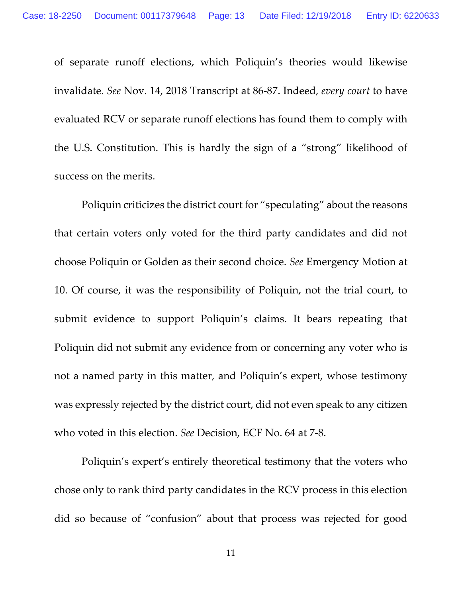of separate runoff elections, which Poliquin's theories would likewise invalidate. *See* Nov. 14, 2018 Transcript at 86-87. Indeed, *every court* to have evaluated RCV or separate runoff elections has found them to comply with the U.S. Constitution. This is hardly the sign of a "strong" likelihood of success on the merits.

Poliquin criticizes the district court for "speculating" about the reasons that certain voters only voted for the third party candidates and did not choose Poliquin or Golden as their second choice. *See* Emergency Motion at 10. Of course, it was the responsibility of Poliquin, not the trial court, to submit evidence to support Poliquin's claims. It bears repeating that Poliquin did not submit any evidence from or concerning any voter who is not a named party in this matter, and Poliquin's expert, whose testimony was expressly rejected by the district court, did not even speak to any citizen who voted in this election. *See* Decision, ECF No. 64 at 7-8.

Poliquin's expert's entirely theoretical testimony that the voters who chose only to rank third party candidates in the RCV process in this election did so because of "confusion" about that process was rejected for good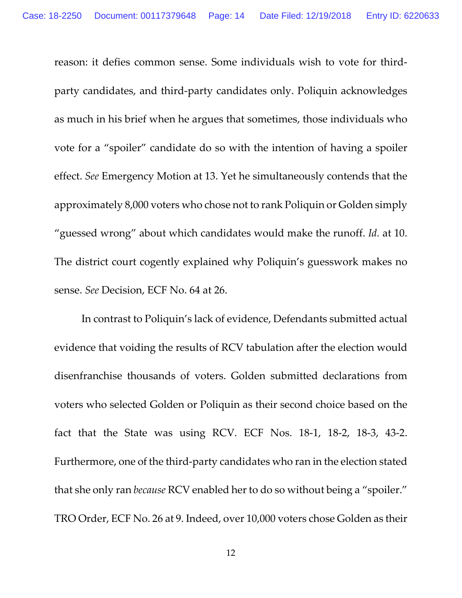reason: it defies common sense. Some individuals wish to vote for thirdparty candidates, and third-party candidates only. Poliquin acknowledges as much in his brief when he argues that sometimes, those individuals who vote for a "spoiler" candidate do so with the intention of having a spoiler effect. *See* Emergency Motion at 13. Yet he simultaneously contends that the approximately 8,000 voters who chose not to rank Poliquin or Golden simply "guessed wrong" about which candidates would make the runoff. *Id.* at 10. The district court cogently explained why Poliquin's guesswork makes no sense. *See* Decision, ECF No. 64 at 26.

In contrast to Poliquin's lack of evidence, Defendants submitted actual evidence that voiding the results of RCV tabulation after the election would disenfranchise thousands of voters. Golden submitted declarations from voters who selected Golden or Poliquin as their second choice based on the fact that the State was using RCV. ECF Nos. 18-1, 18-2, 18-3, 43-2. Furthermore, one of the third-party candidates who ran in the election stated that she only ran *because* RCV enabled her to do so without being a "spoiler." TRO Order, ECF No. 26 at 9. Indeed, over 10,000 voters chose Golden as their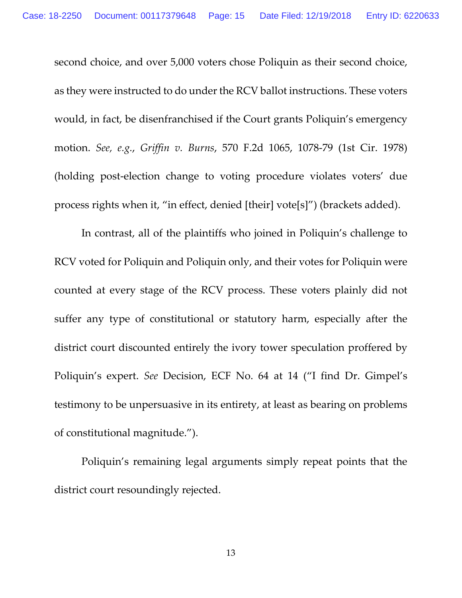second choice, and over 5,000 voters chose Poliquin as their second choice, as they were instructed to do under the RCV ballot instructions. These voters would, in fact, be disenfranchised if the Court grants Poliquin's emergency motion. *See, e.g.*, *Griffin v. Burns*, 570 F.2d 1065, 1078-79 (1st Cir. 1978) (holding post-election change to voting procedure violates voters' due process rights when it, "in effect, denied [their] vote[s]") (brackets added).

In contrast, all of the plaintiffs who joined in Poliquin's challenge to RCV voted for Poliquin and Poliquin only, and their votes for Poliquin were counted at every stage of the RCV process. These voters plainly did not suffer any type of constitutional or statutory harm, especially after the district court discounted entirely the ivory tower speculation proffered by Poliquin's expert. *See* Decision, ECF No. 64 at 14 ("I find Dr. Gimpel's testimony to be unpersuasive in its entirety, at least as bearing on problems of constitutional magnitude.").

Poliquin's remaining legal arguments simply repeat points that the district court resoundingly rejected.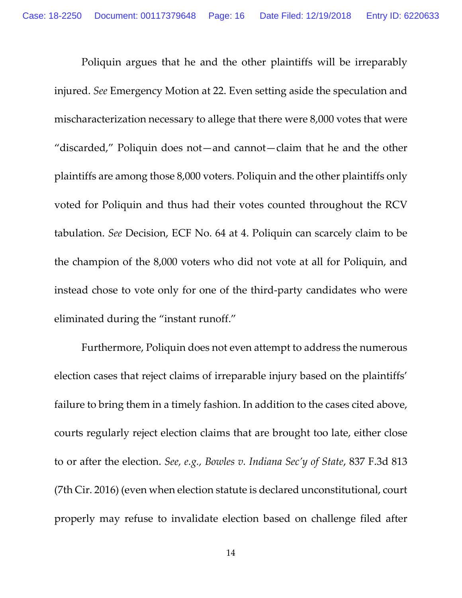Poliquin argues that he and the other plaintiffs will be irreparably injured. *See* Emergency Motion at 22. Even setting aside the speculation and mischaracterization necessary to allege that there were 8,000 votes that were "discarded," Poliquin does not—and cannot—claim that he and the other plaintiffs are among those 8,000 voters. Poliquin and the other plaintiffs only voted for Poliquin and thus had their votes counted throughout the RCV tabulation. *See* Decision, ECF No. 64 at 4. Poliquin can scarcely claim to be the champion of the 8,000 voters who did not vote at all for Poliquin, and instead chose to vote only for one of the third-party candidates who were eliminated during the "instant runoff."

Furthermore, Poliquin does not even attempt to address the numerous election cases that reject claims of irreparable injury based on the plaintiffs' failure to bring them in a timely fashion. In addition to the cases cited above, courts regularly reject election claims that are brought too late, either close to or after the election. *See, e.g., Bowles v. Indiana Sec'y of State*, 837 F.3d 813 (7th Cir. 2016) (even when election statute is declared unconstitutional, court properly may refuse to invalidate election based on challenge filed after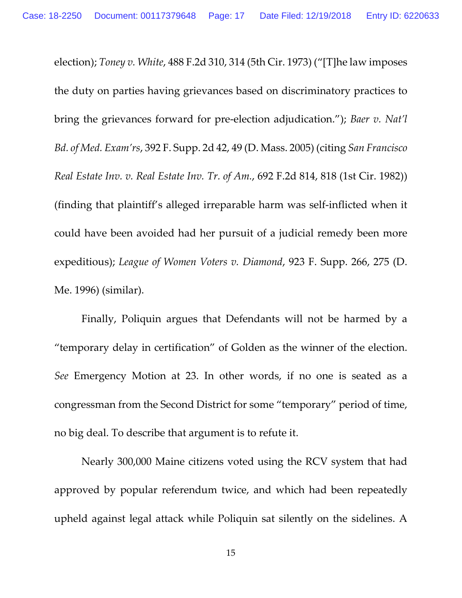election); *Toney v. White*, 488 F.2d 310, 314 (5th Cir. 1973) ("[T]he law imposes the duty on parties having grievances based on discriminatory practices to bring the grievances forward for pre-election adjudication."); *Baer v. Nat'l Bd. of Med. Exam'rs*, 392 F. Supp. 2d 42, 49 (D. Mass. 2005) (citing *San Francisco Real Estate Inv. v. Real Estate Inv. Tr. of Am.*, 692 F.2d 814, 818 (1st Cir. 1982)) (finding that plaintiff's alleged irreparable harm was self-inflicted when it could have been avoided had her pursuit of a judicial remedy been more expeditious); *League of Women Voters v. Diamond*, 923 F. Supp. 266, 275 (D. Me. 1996) (similar).

Finally, Poliquin argues that Defendants will not be harmed by a "temporary delay in certification" of Golden as the winner of the election. *See* Emergency Motion at 23. In other words, if no one is seated as a congressman from the Second District for some "temporary" period of time, no big deal. To describe that argument is to refute it.

Nearly 300,000 Maine citizens voted using the RCV system that had approved by popular referendum twice, and which had been repeatedly upheld against legal attack while Poliquin sat silently on the sidelines. A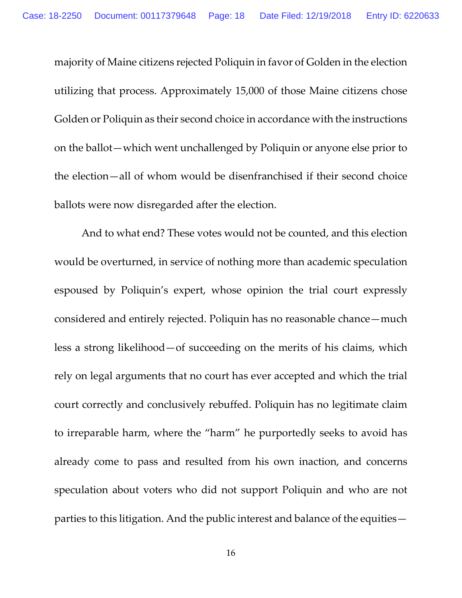majority of Maine citizens rejected Poliquin in favor of Golden in the election utilizing that process. Approximately 15,000 of those Maine citizens chose Golden or Poliquin as their second choice in accordance with the instructions on the ballot—which went unchallenged by Poliquin or anyone else prior to the election—all of whom would be disenfranchised if their second choice ballots were now disregarded after the election.

And to what end? These votes would not be counted, and this election would be overturned, in service of nothing more than academic speculation espoused by Poliquin's expert, whose opinion the trial court expressly considered and entirely rejected. Poliquin has no reasonable chance—much less a strong likelihood—of succeeding on the merits of his claims, which rely on legal arguments that no court has ever accepted and which the trial court correctly and conclusively rebuffed. Poliquin has no legitimate claim to irreparable harm, where the "harm" he purportedly seeks to avoid has already come to pass and resulted from his own inaction, and concerns speculation about voters who did not support Poliquin and who are not parties to this litigation. And the public interest and balance of the equities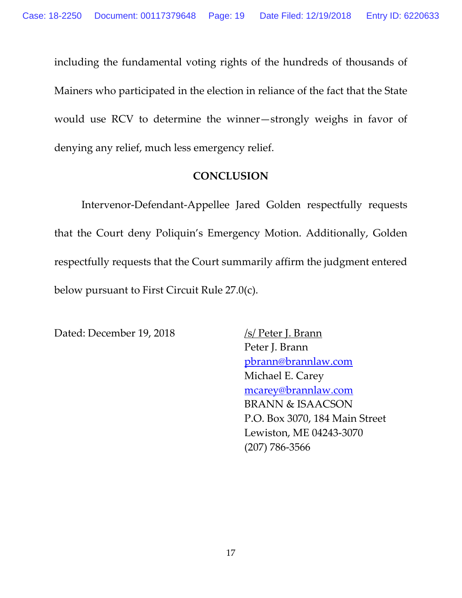including the fundamental voting rights of the hundreds of thousands of Mainers who participated in the election in reliance of the fact that the State would use RCV to determine the winner—strongly weighs in favor of denying any relief, much less emergency relief.

# **CONCLUSION**

Intervenor-Defendant-Appellee Jared Golden respectfully requests that the Court deny Poliquin's Emergency Motion. Additionally, Golden respectfully requests that the Court summarily affirm the judgment entered below pursuant to First Circuit Rule 27.0(c).

Dated: December 19, 2018 /s/ Peter J. Brann

Peter J. Brann pbrann@brannlaw.com Michael E. Carey mcarey@brannlaw.com BRANN & ISAACSON P.O. Box 3070, 184 Main Street Lewiston, ME 04243-3070 (207) 786-3566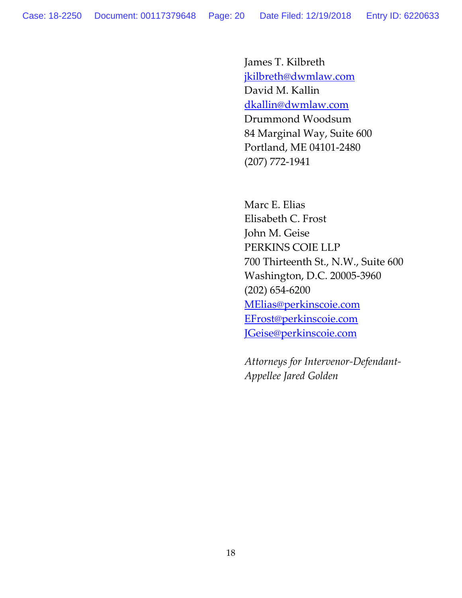James T. Kilbreth jkilbreth@dwmlaw.com David M. Kallin dkallin@dwmlaw.com Drummond Woodsum 84 Marginal Way, Suite 600 Portland, ME 04101-2480 (207) 772-1941

Marc E. Elias Elisabeth C. Frost John M. Geise PERKINS COIE LLP 700 Thirteenth St., N.W., Suite 600 Washington, D.C. 20005-3960 (202) 654-6200 MElias@perkinscoie.com EFrost@perkinscoie.com JGeise@perkinscoie.com

*Attorneys for Intervenor-Defendant-Appellee Jared Golden*